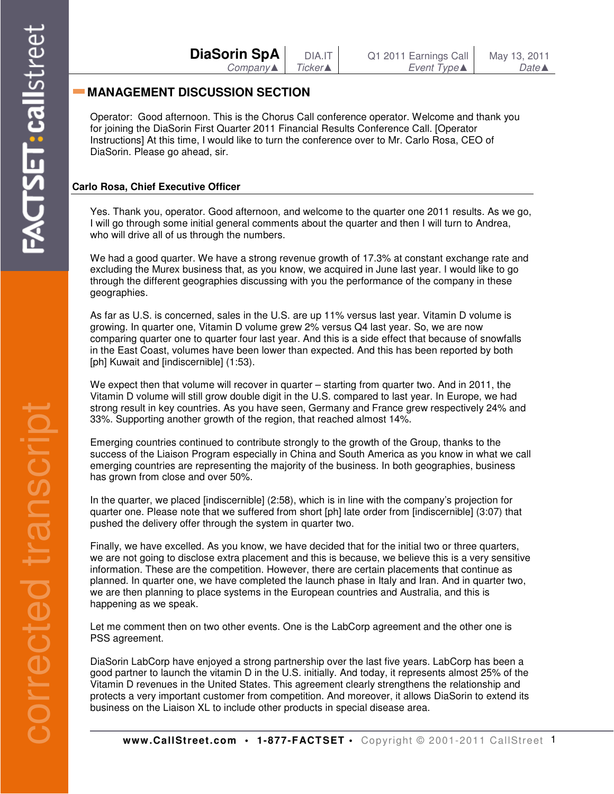| <b>DiaSorin SpA</b> | DIA.IT          | Q1 2011 Earnings Call | May 13, 2011     |
|---------------------|-----------------|-----------------------|------------------|
| Company             | <b>Ticker</b> ▲ | Event Type▲           | Date $\triangle$ |

# **MANAGEMENT DISCUSSION SECTION**

Operator: Good afternoon. This is the Chorus Call conference operator. Welcome and thank you for joining the DiaSorin First Quarter 2011 Financial Results Conference Call. [Operator Instructions] At this time, I would like to turn the conference over to Mr. Carlo Rosa, CEO of DiaSorin. Please go ahead, sir.

## **Carlo Rosa, Chief Executive Officer**

Yes. Thank you, operator. Good afternoon, and welcome to the quarter one 2011 results. As we go, I will go through some initial general comments about the quarter and then I will turn to Andrea, who will drive all of us through the numbers.

We had a good quarter. We have a strong revenue growth of 17.3% at constant exchange rate and excluding the Murex business that, as you know, we acquired in June last year. I would like to go through the different geographies discussing with you the performance of the company in these geographies.

As far as U.S. is concerned, sales in the U.S. are up 11% versus last year. Vitamin D volume is growing. In quarter one, Vitamin D volume grew 2% versus Q4 last year. So, we are now comparing quarter one to quarter four last year. And this is a side effect that because of snowfalls in the East Coast, volumes have been lower than expected. And this has been reported by both [ph] Kuwait and [indiscernible] (1:53).

We expect then that volume will recover in quarter – starting from quarter two. And in 2011, the Vitamin D volume will still grow double digit in the U.S. compared to last year. In Europe, we had strong result in key countries. As you have seen, Germany and France grew respectively 24% and 33%. Supporting another growth of the region, that reached almost 14%.

Emerging countries continued to contribute strongly to the growth of the Group, thanks to the success of the Liaison Program especially in China and South America as you know in what we call emerging countries are representing the majority of the business. In both geographies, business has grown from close and over 50%.

In the quarter, we placed [indiscernible] (2:58), which is in line with the company's projection for quarter one. Please note that we suffered from short [ph] late order from [indiscernible] (3:07) that pushed the delivery offer through the system in quarter two.

Finally, we have excelled. As you know, we have decided that for the initial two or three quarters, we are not going to disclose extra placement and this is because, we believe this is a very sensitive information. These are the competition. However, there are certain placements that continue as planned. In quarter one, we have completed the launch phase in Italy and Iran. And in quarter two, we are then planning to place systems in the European countries and Australia, and this is happening as we speak.

Let me comment then on two other events. One is the LabCorp agreement and the other one is PSS agreement.

DiaSorin LabCorp have enjoyed a strong partnership over the last five years. LabCorp has been a good partner to launch the vitamin D in the U.S. initially. And today, it represents almost 25% of the Vitamin D revenues in the United States. This agreement clearly strengthens the relationship and protects a very important customer from competition. And moreover, it allows DiaSorin to extend its business on the Liaison XL to include other products in special disease area.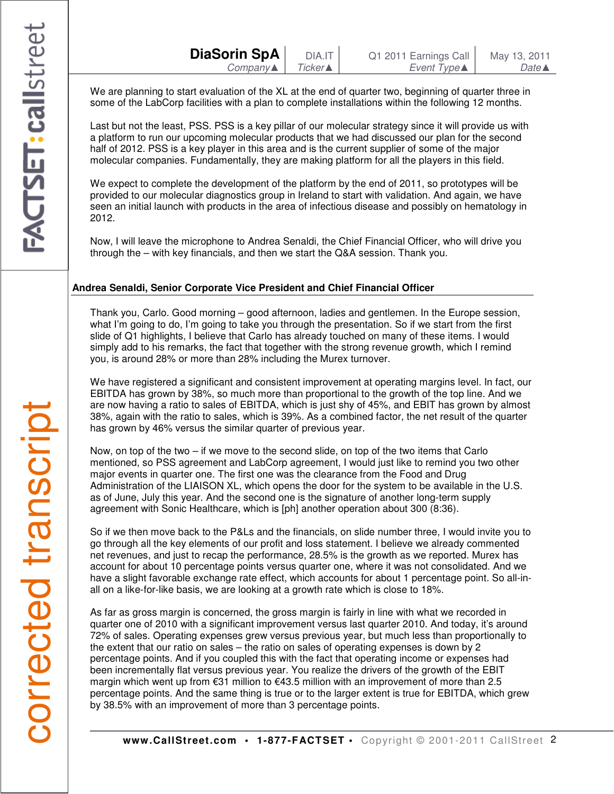We are planning to start evaluation of the XL at the end of quarter two, beginning of quarter three in some of the LabCorp facilities with a plan to complete installations within the following 12 months.

Last but not the least, PSS. PSS is a key pillar of our molecular strategy since it will provide us with a platform to run our upcoming molecular products that we had discussed our plan for the second half of 2012. PSS is a key player in this area and is the current supplier of some of the major molecular companies. Fundamentally, they are making platform for all the players in this field.

We expect to complete the development of the platform by the end of 2011, so prototypes will be provided to our molecular diagnostics group in Ireland to start with validation. And again, we have seen an initial launch with products in the area of infectious disease and possibly on hematology in 2012.

Now, I will leave the microphone to Andrea Senaldi, the Chief Financial Officer, who will drive you through the – with key financials, and then we start the Q&A session. Thank you.

## **Andrea Senaldi, Senior Corporate Vice President and Chief Financial Officer**

Thank you, Carlo. Good morning – good afternoon, ladies and gentlemen. In the Europe session, what I'm going to do, I'm going to take you through the presentation. So if we start from the first slide of Q1 highlights, I believe that Carlo has already touched on many of these items. I would simply add to his remarks, the fact that together with the strong revenue growth, which I remind you, is around 28% or more than 28% including the Murex turnover.

We have registered a significant and consistent improvement at operating margins level. In fact, our EBITDA has grown by 38%, so much more than proportional to the growth of the top line. And we are now having a ratio to sales of EBITDA, which is just shy of 45%, and EBIT has grown by almost 38%, again with the ratio to sales, which is 39%. As a combined factor, the net result of the quarter has grown by 46% versus the similar quarter of previous year.

Now, on top of the two – if we move to the second slide, on top of the two items that Carlo mentioned, so PSS agreement and LabCorp agreement, I would just like to remind you two other major events in quarter one. The first one was the clearance from the Food and Drug Administration of the LIAISON XL, which opens the door for the system to be available in the U.S. as of June, July this year. And the second one is the signature of another long-term supply agreement with Sonic Healthcare, which is [ph] another operation about 300 (8:36).

So if we then move back to the P&Ls and the financials, on slide number three, I would invite you to go through all the key elements of our profit and loss statement. I believe we already commented net revenues, and just to recap the performance, 28.5% is the growth as we reported. Murex has account for about 10 percentage points versus quarter one, where it was not consolidated. And we have a slight favorable exchange rate effect, which accounts for about 1 percentage point. So all-inall on a like-for-like basis, we are looking at a growth rate which is close to 18%.

As far as gross margin is concerned, the gross margin is fairly in line with what we recorded in quarter one of 2010 with a significant improvement versus last quarter 2010. And today, it's around 72% of sales. Operating expenses grew versus previous year, but much less than proportionally to the extent that our ratio on sales – the ratio on sales of operating expenses is down by 2 percentage points. And if you coupled this with the fact that operating income or expenses had been incrementally flat versus previous year. You realize the drivers of the growth of the EBIT margin which went up from €31 million to €43.5 million with an improvement of more than 2.5 percentage points. And the same thing is true or to the larger extent is true for EBITDA, which grew by 38.5% with an improvement of more than 3 percentage points.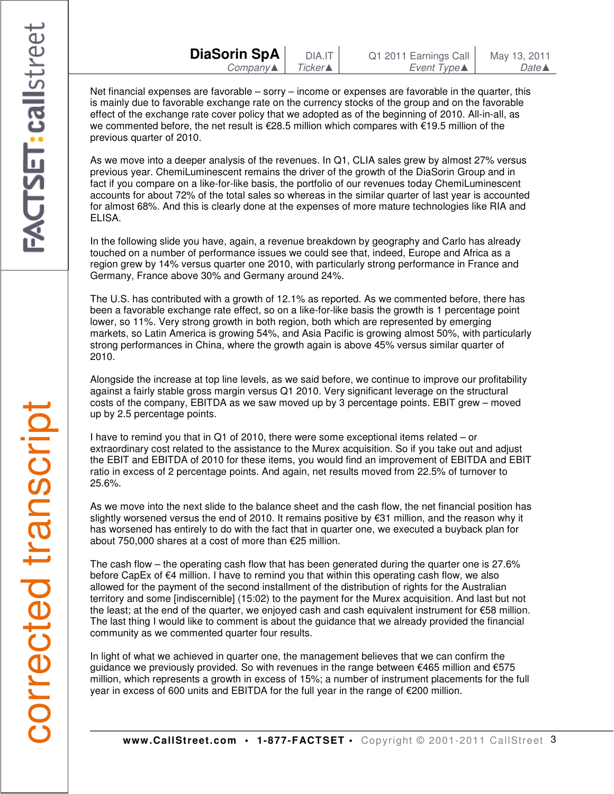Net financial expenses are favorable – sorry – income or expenses are favorable in the quarter, this is mainly due to favorable exchange rate on the currency stocks of the group and on the favorable effect of the exchange rate cover policy that we adopted as of the beginning of 2010. All-in-all, as we commented before, the net result is €28.5 million which compares with €19.5 million of the previous quarter of 2010.

As we move into a deeper analysis of the revenues. In Q1, CLIA sales grew by almost 27% versus previous year. ChemiLuminescent remains the driver of the growth of the DiaSorin Group and in fact if you compare on a like-for-like basis, the portfolio of our revenues today ChemiLuminescent accounts for about 72% of the total sales so whereas in the similar quarter of last year is accounted for almost 68%. And this is clearly done at the expenses of more mature technologies like RIA and ELISA.

In the following slide you have, again, a revenue breakdown by geography and Carlo has already touched on a number of performance issues we could see that, indeed, Europe and Africa as a region grew by 14% versus quarter one 2010, with particularly strong performance in France and Germany, France above 30% and Germany around 24%.

The U.S. has contributed with a growth of 12.1% as reported. As we commented before, there has been a favorable exchange rate effect, so on a like-for-like basis the growth is 1 percentage point lower, so 11%. Very strong growth in both region, both which are represented by emerging markets, so Latin America is growing 54%, and Asia Pacific is growing almost 50%, with particularly strong performances in China, where the growth again is above 45% versus similar quarter of 2010.

Alongside the increase at top line levels, as we said before, we continue to improve our profitability against a fairly stable gross margin versus Q1 2010. Very significant leverage on the structural costs of the company, EBITDA as we saw moved up by 3 percentage points. EBIT grew – moved up by 2.5 percentage points.

I have to remind you that in Q1 of 2010, there were some exceptional items related – or extraordinary cost related to the assistance to the Murex acquisition. So if you take out and adjust the EBIT and EBITDA of 2010 for these items, you would find an improvement of EBITDA and EBIT ratio in excess of 2 percentage points. And again, net results moved from 22.5% of turnover to 25.6%.

As we move into the next slide to the balance sheet and the cash flow, the net financial position has slightly worsened versus the end of 2010. It remains positive by €31 million, and the reason why it has worsened has entirely to do with the fact that in quarter one, we executed a buyback plan for about 750,000 shares at a cost of more than €25 million.

The cash flow – the operating cash flow that has been generated during the quarter one is 27.6% before CapEx of €4 million. I have to remind you that within this operating cash flow, we also allowed for the payment of the second installment of the distribution of rights for the Australian territory and some [indiscernible] (15:02) to the payment for the Murex acquisition. And last but not the least; at the end of the quarter, we enjoyed cash and cash equivalent instrument for €58 million. The last thing I would like to comment is about the guidance that we already provided the financial community as we commented quarter four results.

In light of what we achieved in quarter one, the management believes that we can confirm the guidance we previously provided. So with revenues in the range between  $\epsilon$ 465 million and  $\epsilon$ 575 million, which represents a growth in excess of 15%; a number of instrument placements for the full year in excess of 600 units and EBITDA for the full year in the range of €200 million.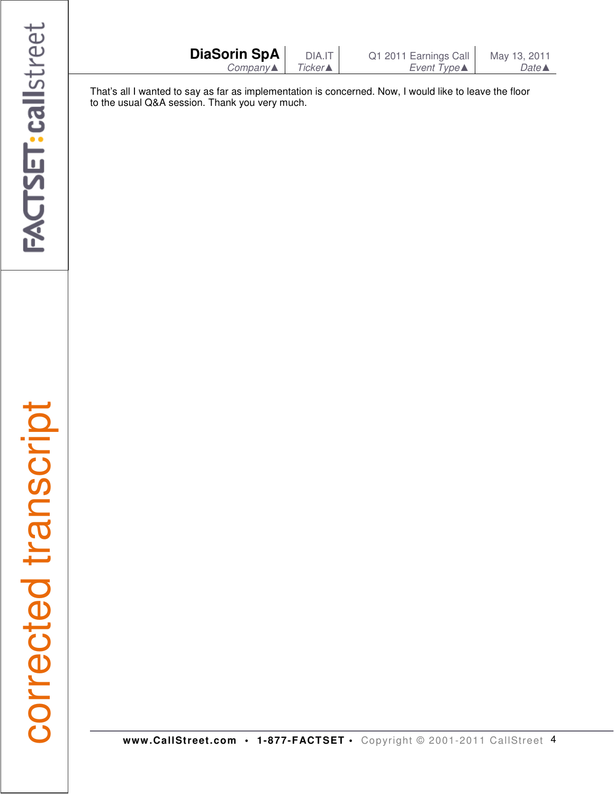| DiaSorin SpA        | <b>DIA.IT</b> |  |
|---------------------|---------------|--|
| $Company \triangle$ | Ticker▲       |  |

That's all I wanted to say as far as implementation is concerned. Now, I would like to leave the floor to the usual Q&A session. Thank you very much.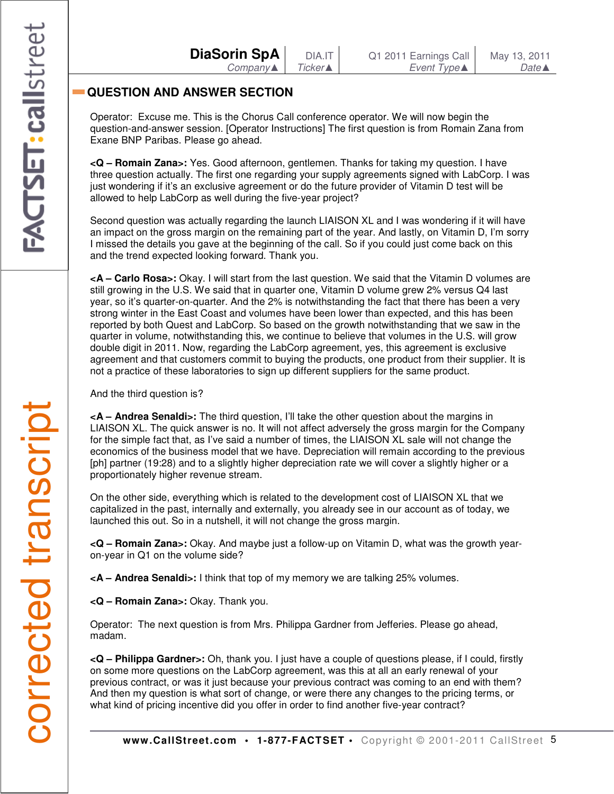| <b>DiaSorin SpA</b> |          |
|---------------------|----------|
|                     | Company▲ |

# **QUESTION AND ANSWER SECTION**

Operator: Excuse me. This is the Chorus Call conference operator. We will now begin the question-and-answer session. [Operator Instructions] The first question is from Romain Zana from Exane BNP Paribas. Please go ahead.

**<Q – Romain Zana>:** Yes. Good afternoon, gentlemen. Thanks for taking my question. I have three question actually. The first one regarding your supply agreements signed with LabCorp. I was just wondering if it's an exclusive agreement or do the future provider of Vitamin D test will be allowed to help LabCorp as well during the five-year project?

Second question was actually regarding the launch LIAISON XL and I was wondering if it will have an impact on the gross margin on the remaining part of the year. And lastly, on Vitamin D, I'm sorry I missed the details you gave at the beginning of the call. So if you could just come back on this and the trend expected looking forward. Thank you.

**<A – Carlo Rosa>:** Okay. I will start from the last question. We said that the Vitamin D volumes are still growing in the U.S. We said that in quarter one, Vitamin D volume grew 2% versus Q4 last year, so it's quarter-on-quarter. And the 2% is notwithstanding the fact that there has been a very strong winter in the East Coast and volumes have been lower than expected, and this has been reported by both Quest and LabCorp. So based on the growth notwithstanding that we saw in the quarter in volume, notwithstanding this, we continue to believe that volumes in the U.S. will grow double digit in 2011. Now, regarding the LabCorp agreement, yes, this agreement is exclusive agreement and that customers commit to buying the products, one product from their supplier. It is not a practice of these laboratories to sign up different suppliers for the same product.

And the third question is?

**<A – Andrea Senaldi>:** The third question, I'll take the other question about the margins in LIAISON XL. The quick answer is no. It will not affect adversely the gross margin for the Company for the simple fact that, as I've said a number of times, the LIAISON XL sale will not change the economics of the business model that we have. Depreciation will remain according to the previous [ph] partner (19:28) and to a slightly higher depreciation rate we will cover a slightly higher or a proportionately higher revenue stream.

On the other side, everything which is related to the development cost of LIAISON XL that we capitalized in the past, internally and externally, you already see in our account as of today, we launched this out. So in a nutshell, it will not change the gross margin.

**<Q – Romain Zana>:** Okay. And maybe just a follow-up on Vitamin D, what was the growth yearon-year in Q1 on the volume side?

**<A – Andrea Senaldi>:** I think that top of my memory we are talking 25% volumes.

**<Q – Romain Zana>:** Okay. Thank you.

Operator: The next question is from Mrs. Philippa Gardner from Jefferies. Please go ahead, madam.

**<Q – Philippa Gardner>:** Oh, thank you. I just have a couple of questions please, if I could, firstly on some more questions on the LabCorp agreement, was this at all an early renewal of your previous contract, or was it just because your previous contract was coming to an end with them? And then my question is what sort of change, or were there any changes to the pricing terms, or what kind of pricing incentive did you offer in order to find another five-year contract?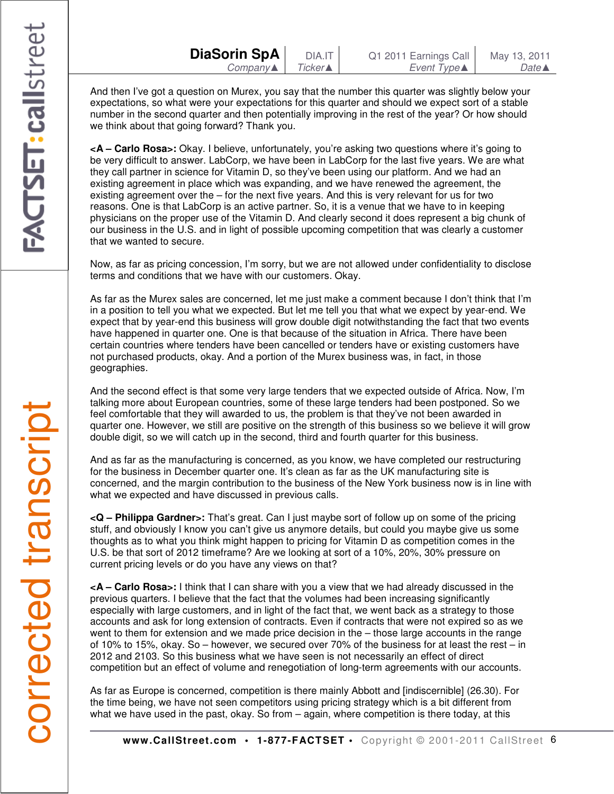And then I've got a question on Murex, you say that the number this quarter was slightly below your expectations, so what were your expectations for this quarter and should we expect sort of a stable number in the second quarter and then potentially improving in the rest of the year? Or how should we think about that going forward? Thank you.

**<A – Carlo Rosa>:** Okay. I believe, unfortunately, you're asking two questions where it's going to be very difficult to answer. LabCorp, we have been in LabCorp for the last five years. We are what they call partner in science for Vitamin D, so they've been using our platform. And we had an existing agreement in place which was expanding, and we have renewed the agreement, the existing agreement over the – for the next five years. And this is very relevant for us for two reasons. One is that LabCorp is an active partner. So, it is a venue that we have to in keeping physicians on the proper use of the Vitamin D. And clearly second it does represent a big chunk of our business in the U.S. and in light of possible upcoming competition that was clearly a customer that we wanted to secure.

Now, as far as pricing concession, I'm sorry, but we are not allowed under confidentiality to disclose terms and conditions that we have with our customers. Okay.

As far as the Murex sales are concerned, let me just make a comment because I don't think that I'm in a position to tell you what we expected. But let me tell you that what we expect by year-end. We expect that by year-end this business will grow double digit notwithstanding the fact that two events have happened in quarter one. One is that because of the situation in Africa. There have been certain countries where tenders have been cancelled or tenders have or existing customers have not purchased products, okay. And a portion of the Murex business was, in fact, in those geographies.

And the second effect is that some very large tenders that we expected outside of Africa. Now, I'm talking more about European countries, some of these large tenders had been postponed. So we feel comfortable that they will awarded to us, the problem is that they've not been awarded in quarter one. However, we still are positive on the strength of this business so we believe it will grow double digit, so we will catch up in the second, third and fourth quarter for this business.

And as far as the manufacturing is concerned, as you know, we have completed our restructuring for the business in December quarter one. It's clean as far as the UK manufacturing site is concerned, and the margin contribution to the business of the New York business now is in line with what we expected and have discussed in previous calls.

**<Q – Philippa Gardner>:** That's great. Can I just maybe sort of follow up on some of the pricing stuff, and obviously I know you can't give us anymore details, but could you maybe give us some thoughts as to what you think might happen to pricing for Vitamin D as competition comes in the U.S. be that sort of 2012 timeframe? Are we looking at sort of a 10%, 20%, 30% pressure on current pricing levels or do you have any views on that?

**<A – Carlo Rosa>:** I think that I can share with you a view that we had already discussed in the previous quarters. I believe that the fact that the volumes had been increasing significantly especially with large customers, and in light of the fact that, we went back as a strategy to those accounts and ask for long extension of contracts. Even if contracts that were not expired so as we went to them for extension and we made price decision in the – those large accounts in the range of 10% to 15%, okay. So – however, we secured over 70% of the business for at least the rest – in 2012 and 2103. So this business what we have seen is not necessarily an effect of direct competition but an effect of volume and renegotiation of long-term agreements with our accounts.

As far as Europe is concerned, competition is there mainly Abbott and [indiscernible] (26.30). For the time being, we have not seen competitors using pricing strategy which is a bit different from what we have used in the past, okay. So from – again, where competition is there today, at this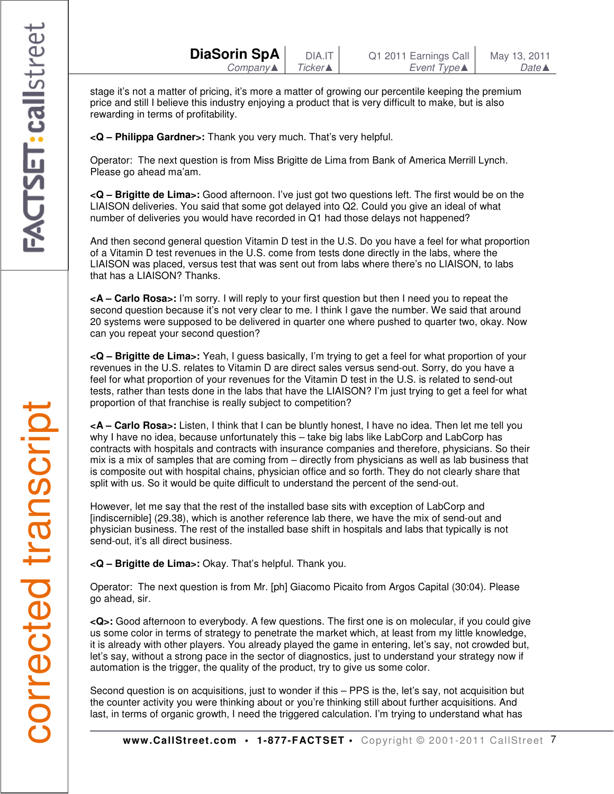stage it's not a matter of pricing, it's more a matter of growing our percentile keeping the premium price and still I believe this industry enjoying a product that is very difficult to make, but is also rewarding in terms of profitability.

**<Q – Philippa Gardner>:** Thank you very much. That's very helpful.

Operator: The next question is from Miss Brigitte de Lima from Bank of America Merrill Lynch. Please go ahead ma'am.

**<Q – Brigitte de Lima>:** Good afternoon. I've just got two questions left. The first would be on the LIAISON deliveries. You said that some got delayed into Q2. Could you give an ideal of what number of deliveries you would have recorded in Q1 had those delays not happened?

And then second general question Vitamin D test in the U.S. Do you have a feel for what proportion of a Vitamin D test revenues in the U.S. come from tests done directly in the labs, where the LIAISON was placed, versus test that was sent out from labs where there's no LIAISON, to labs that has a LIAISON? Thanks.

**<A – Carlo Rosa>:** I'm sorry. I will reply to your first question but then I need you to repeat the second question because it's not very clear to me. I think I gave the number. We said that around 20 systems were supposed to be delivered in quarter one where pushed to quarter two, okay. Now can you repeat your second question?

**<Q – Brigitte de Lima>:** Yeah, I guess basically, I'm trying to get a feel for what proportion of your revenues in the U.S. relates to Vitamin D are direct sales versus send-out. Sorry, do you have a feel for what proportion of your revenues for the Vitamin D test in the U.S. is related to send-out tests, rather than tests done in the labs that have the LIAISON? I'm just trying to get a feel for what proportion of that franchise is really subject to competition?

**<A – Carlo Rosa>:** Listen, I think that I can be bluntly honest, I have no idea. Then let me tell you why I have no idea, because unfortunately this – take big labs like LabCorp and LabCorp has contracts with hospitals and contracts with insurance companies and therefore, physicians. So their mix is a mix of samples that are coming from – directly from physicians as well as lab business that is composite out with hospital chains, physician office and so forth. They do not clearly share that split with us. So it would be quite difficult to understand the percent of the send-out.

However, let me say that the rest of the installed base sits with exception of LabCorp and [indiscernible] (29.38), which is another reference lab there, we have the mix of send-out and physician business. The rest of the installed base shift in hospitals and labs that typically is not send-out, it's all direct business.

**<Q – Brigitte de Lima>:** Okay. That's helpful. Thank you.

Operator: The next question is from Mr. [ph] Giacomo Picaito from Argos Capital (30:04). Please go ahead, sir.

**<Q>:** Good afternoon to everybody. A few questions. The first one is on molecular, if you could give us some color in terms of strategy to penetrate the market which, at least from my little knowledge, it is already with other players. You already played the game in entering, let's say, not crowded but, let's say, without a strong pace in the sector of diagnostics, just to understand your strategy now if automation is the trigger, the quality of the product, try to give us some color.

Second question is on acquisitions, just to wonder if this - PPS is the, let's say, not acquisition but the counter activity you were thinking about or you're thinking still about further acquisitions. And last, in terms of organic growth, I need the triggered calculation. I'm trying to understand what has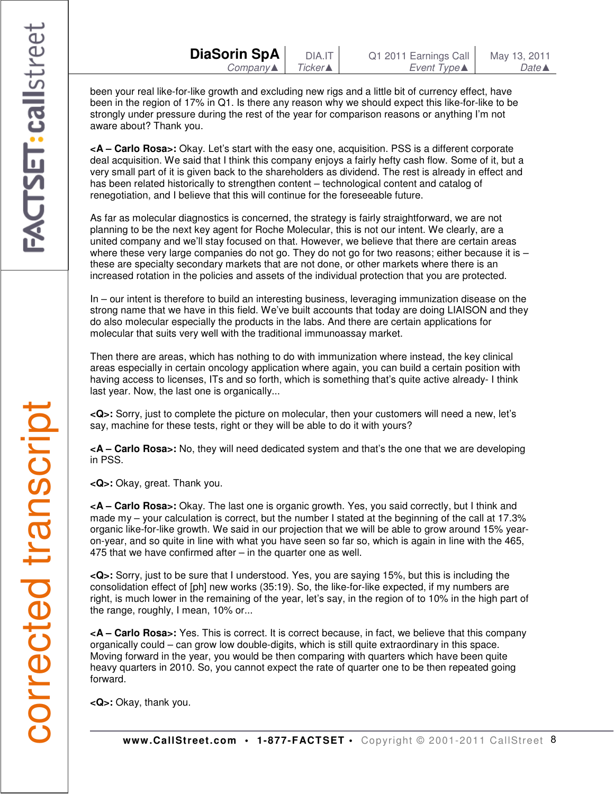been your real like-for-like growth and excluding new rigs and a little bit of currency effect, have been in the region of 17% in Q1. Is there any reason why we should expect this like-for-like to be strongly under pressure during the rest of the year for comparison reasons or anything I'm not aware about? Thank you.

**<A – Carlo Rosa>:** Okay. Let's start with the easy one, acquisition. PSS is a different corporate deal acquisition. We said that I think this company enjoys a fairly hefty cash flow. Some of it, but a very small part of it is given back to the shareholders as dividend. The rest is already in effect and has been related historically to strengthen content – technological content and catalog of renegotiation, and I believe that this will continue for the foreseeable future.

As far as molecular diagnostics is concerned, the strategy is fairly straightforward, we are not planning to be the next key agent for Roche Molecular, this is not our intent. We clearly, are a united company and we'll stay focused on that. However, we believe that there are certain areas where these very large companies do not go. They do not go for two reasons; either because it is  $$ these are specialty secondary markets that are not done, or other markets where there is an increased rotation in the policies and assets of the individual protection that you are protected.

In – our intent is therefore to build an interesting business, leveraging immunization disease on the strong name that we have in this field. We've built accounts that today are doing LIAISON and they do also molecular especially the products in the labs. And there are certain applications for molecular that suits very well with the traditional immunoassay market.

Then there are areas, which has nothing to do with immunization where instead, the key clinical areas especially in certain oncology application where again, you can build a certain position with having access to licenses, ITs and so forth, which is something that's quite active already- I think last year. Now, the last one is organically...

**<Q>:** Sorry, just to complete the picture on molecular, then your customers will need a new, let's say, machine for these tests, right or they will be able to do it with yours?

**<A – Carlo Rosa>:** No, they will need dedicated system and that's the one that we are developing in PSS.

**<Q>:** Okay, great. Thank you.

**<A – Carlo Rosa>:** Okay. The last one is organic growth. Yes, you said correctly, but I think and made my – your calculation is correct, but the number I stated at the beginning of the call at 17.3% organic like-for-like growth. We said in our projection that we will be able to grow around 15% yearon-year, and so quite in line with what you have seen so far so, which is again in line with the 465, 475 that we have confirmed after – in the quarter one as well.

**<Q>:** Sorry, just to be sure that I understood. Yes, you are saying 15%, but this is including the consolidation effect of [ph] new works (35:19). So, the like-for-like expected, if my numbers are right, is much lower in the remaining of the year, let's say, in the region of to 10% in the high part of the range, roughly, I mean, 10% or...

**<A – Carlo Rosa>:** Yes. This is correct. It is correct because, in fact, we believe that this company organically could – can grow low double-digits, which is still quite extraordinary in this space. Moving forward in the year, you would be then comparing with quarters which have been quite heavy quarters in 2010. So, you cannot expect the rate of quarter one to be then repeated going

**<Q>:** Okay, thank you.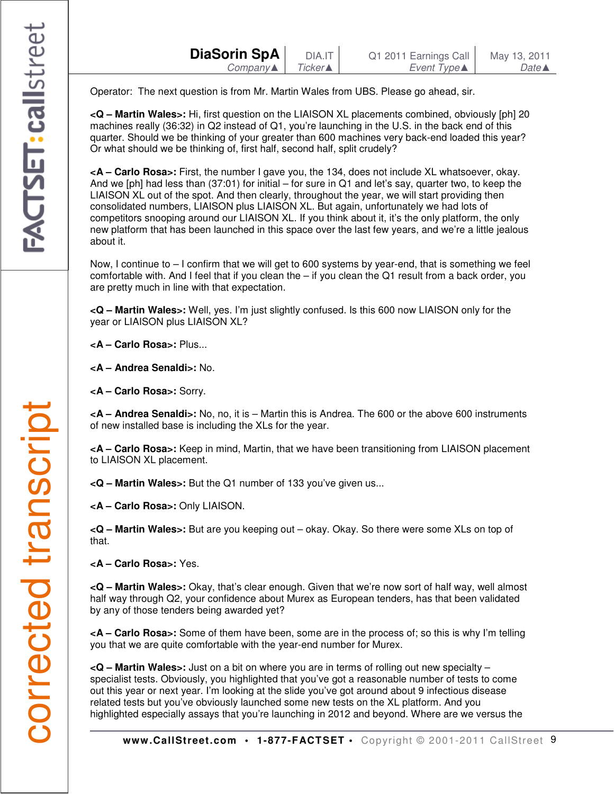| DiaSorin SpA | DIA.IT    | Q1 2011 Earnings Call | May 13, 2011     |
|--------------|-----------|-----------------------|------------------|
| Company▲     | Ticker▲ I | Event Type▲           | Date $\triangle$ |
|              |           |                       |                  |

Operator: The next question is from Mr. Martin Wales from UBS. Please go ahead, sir.

**<Q – Martin Wales>:** Hi, first question on the LIAISON XL placements combined, obviously [ph] 20 machines really (36:32) in Q2 instead of Q1, you're launching in the U.S. in the back end of this quarter. Should we be thinking of your greater than 600 machines very back-end loaded this year? Or what should we be thinking of, first half, second half, split crudely?

**<A – Carlo Rosa>:** First, the number I gave you, the 134, does not include XL whatsoever, okay. And we [ph] had less than (37:01) for initial – for sure in Q1 and let's say, quarter two, to keep the LIAISON XL out of the spot. And then clearly, throughout the year, we will start providing then consolidated numbers, LIAISON plus LIAISON XL. But again, unfortunately we had lots of competitors snooping around our LIAISON XL. If you think about it, it's the only platform, the only new platform that has been launched in this space over the last few years, and we're a little jealous about it.

Now, I continue to  $-1$  confirm that we will get to 600 systems by year-end, that is something we feel comfortable with. And I feel that if you clean the – if you clean the Q1 result from a back order, you are pretty much in line with that expectation.

**<Q – Martin Wales>:** Well, yes. I'm just slightly confused. Is this 600 now LIAISON only for the year or LIAISON plus LIAISON XL?

**<A – Carlo Rosa>:** Plus...

**<A – Andrea Senaldi>:** No.

**<A – Carlo Rosa>:** Sorry.

**<A – Andrea Senaldi>:** No, no, it is – Martin this is Andrea. The 600 or the above 600 instruments of new installed base is including the XLs for the year.

**<A – Carlo Rosa>:** Keep in mind, Martin, that we have been transitioning from LIAISON placement to LIAISON XL placement.

**<Q – Martin Wales>:** But the Q1 number of 133 you've given us...

**<A – Carlo Rosa>:** Only LIAISON.

**<Q – Martin Wales>:** But are you keeping out – okay. Okay. So there were some XLs on top of that.

**<A – Carlo Rosa>:** Yes.

**<Q – Martin Wales>:** Okay, that's clear enough. Given that we're now sort of half way, well almost half way through Q2, your confidence about Murex as European tenders, has that been validated by any of those tenders being awarded yet?

**<A – Carlo Rosa>:** Some of them have been, some are in the process of; so this is why I'm telling you that we are quite comfortable with the year-end number for Murex.

**<Q – Martin Wales>:** Just on a bit on where you are in terms of rolling out new specialty – specialist tests. Obviously, you highlighted that you've got a reasonable number of tests to come out this year or next year. I'm looking at the slide you've got around about 9 infectious disease related tests but you've obviously launched some new tests on the XL platform. And you highlighted especially assays that you're launching in 2012 and beyond. Where are we versus the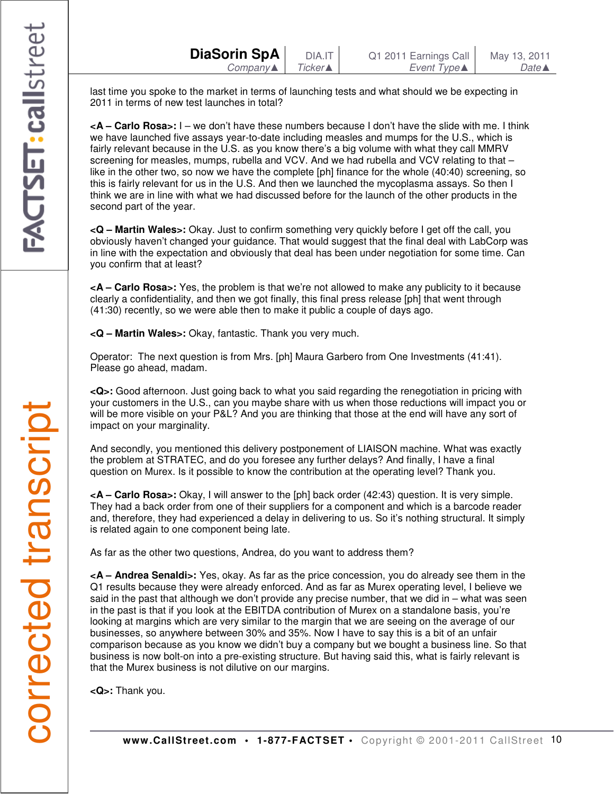last time you spoke to the market in terms of launching tests and what should we be expecting in 2011 in terms of new test launches in total?

**<A – Carlo Rosa>:** I – we don't have these numbers because I don't have the slide with me. I think we have launched five assays year-to-date including measles and mumps for the U.S., which is fairly relevant because in the U.S. as you know there's a big volume with what they call MMRV screening for measles, mumps, rubella and VCV. And we had rubella and VCV relating to that like in the other two, so now we have the complete [ph] finance for the whole (40:40) screening, so this is fairly relevant for us in the U.S. And then we launched the mycoplasma assays. So then I think we are in line with what we had discussed before for the launch of the other products in the second part of the year.

**<Q – Martin Wales>:** Okay. Just to confirm something very quickly before I get off the call, you obviously haven't changed your guidance. That would suggest that the final deal with LabCorp was in line with the expectation and obviously that deal has been under negotiation for some time. Can you confirm that at least?

**<A – Carlo Rosa>:** Yes, the problem is that we're not allowed to make any publicity to it because clearly a confidentiality, and then we got finally, this final press release [ph] that went through (41:30) recently, so we were able then to make it public a couple of days ago.

**<Q – Martin Wales>:** Okay, fantastic. Thank you very much.

Operator: The next question is from Mrs. [ph] Maura Garbero from One Investments (41:41). Please go ahead, madam.

**<Q>:** Good afternoon. Just going back to what you said regarding the renegotiation in pricing with your customers in the U.S., can you maybe share with us when those reductions will impact you or will be more visible on your P&L? And you are thinking that those at the end will have any sort of impact on your marginality.

And secondly, you mentioned this delivery postponement of LIAISON machine. What was exactly the problem at STRATEC, and do you foresee any further delays? And finally, I have a final question on Murex. Is it possible to know the contribution at the operating level? Thank you.

**<A – Carlo Rosa>:** Okay, I will answer to the [ph] back order (42:43) question. It is very simple. They had a back order from one of their suppliers for a component and which is a barcode reader and, therefore, they had experienced a delay in delivering to us. So it's nothing structural. It simply is related again to one component being late.

As far as the other two questions, Andrea, do you want to address them?

**<A – Andrea Senaldi>:** Yes, okay. As far as the price concession, you do already see them in the Q1 results because they were already enforced. And as far as Murex operating level, I believe we said in the past that although we don't provide any precise number, that we did in – what was seen in the past is that if you look at the EBITDA contribution of Murex on a standalone basis, you're looking at margins which are very similar to the margin that we are seeing on the average of our businesses, so anywhere between 30% and 35%. Now I have to say this is a bit of an unfair comparison because as you know we didn't buy a company but we bought a business line. So that business is now bolt-on into a pre-existing structure. But having said this, what is fairly relevant is that the Murex business is not dilutive on our margins.

**<Q>:** Thank you.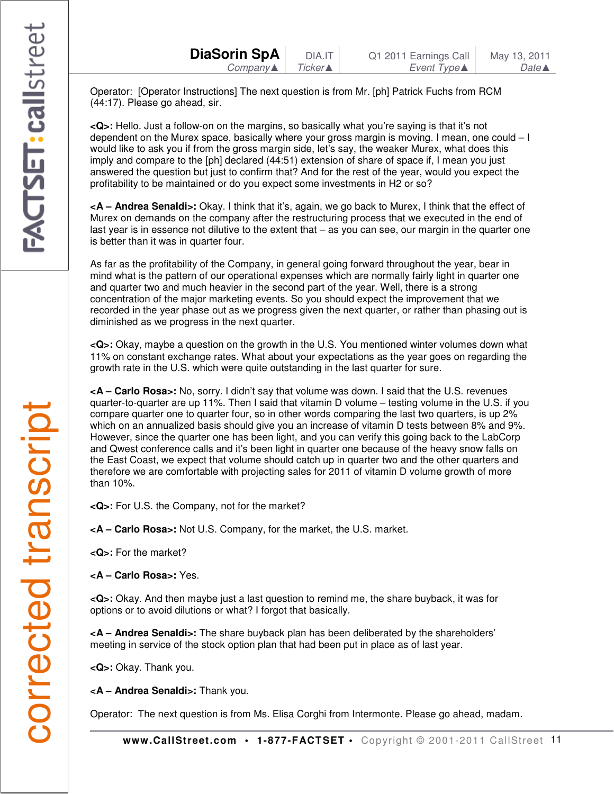Operator: [Operator Instructions] The next question is from Mr. [ph] Patrick Fuchs from RCM (44:17). Please go ahead, sir.

**<Q>:** Hello. Just a follow-on on the margins, so basically what you're saying is that it's not dependent on the Murex space, basically where your gross margin is moving. I mean, one could – I would like to ask you if from the gross margin side, let's say, the weaker Murex, what does this imply and compare to the [ph] declared (44:51) extension of share of space if, I mean you just answered the question but just to confirm that? And for the rest of the year, would you expect the profitability to be maintained or do you expect some investments in H2 or so?

**<A – Andrea Senaldi>:** Okay. I think that it's, again, we go back to Murex, I think that the effect of Murex on demands on the company after the restructuring process that we executed in the end of last year is in essence not dilutive to the extent that – as you can see, our margin in the quarter one is better than it was in quarter four.

As far as the profitability of the Company, in general going forward throughout the year, bear in mind what is the pattern of our operational expenses which are normally fairly light in quarter one and quarter two and much heavier in the second part of the year. Well, there is a strong concentration of the major marketing events. So you should expect the improvement that we recorded in the year phase out as we progress given the next quarter, or rather than phasing out is diminished as we progress in the next quarter.

**<Q>:** Okay, maybe a question on the growth in the U.S. You mentioned winter volumes down what 11% on constant exchange rates. What about your expectations as the year goes on regarding the growth rate in the U.S. which were quite outstanding in the last quarter for sure.

**<A – Carlo Rosa>:** No, sorry. I didn't say that volume was down. I said that the U.S. revenues quarter-to-quarter are up 11%. Then I said that vitamin D volume – testing volume in the U.S. if you compare quarter one to quarter four, so in other words comparing the last two quarters, is up 2% which on an annualized basis should give you an increase of vitamin D tests between 8% and 9%. However, since the quarter one has been light, and you can verify this going back to the LabCorp and Qwest conference calls and it's been light in quarter one because of the heavy snow falls on the East Coast, we expect that volume should catch up in quarter two and the other quarters and therefore we are comfortable with projecting sales for 2011 of vitamin D volume growth of more than 10%.

**<Q>:** For U.S. the Company, not for the market?

**<A – Carlo Rosa>:** Not U.S. Company, for the market, the U.S. market.

**<Q>:** For the market?

**<A – Carlo Rosa>:** Yes.

**<Q>:** Okay. And then maybe just a last question to remind me, the share buyback, it was for options or to avoid dilutions or what? I forgot that basically.

**<A – Andrea Senaldi>:** The share buyback plan has been deliberated by the shareholders' meeting in service of the stock option plan that had been put in place as of last year.

**<Q>:** Okay. Thank you.

**<A – Andrea Senaldi>:** Thank you.

Operator: The next question is from Ms. Elisa Corghi from Intermonte. Please go ahead, madam.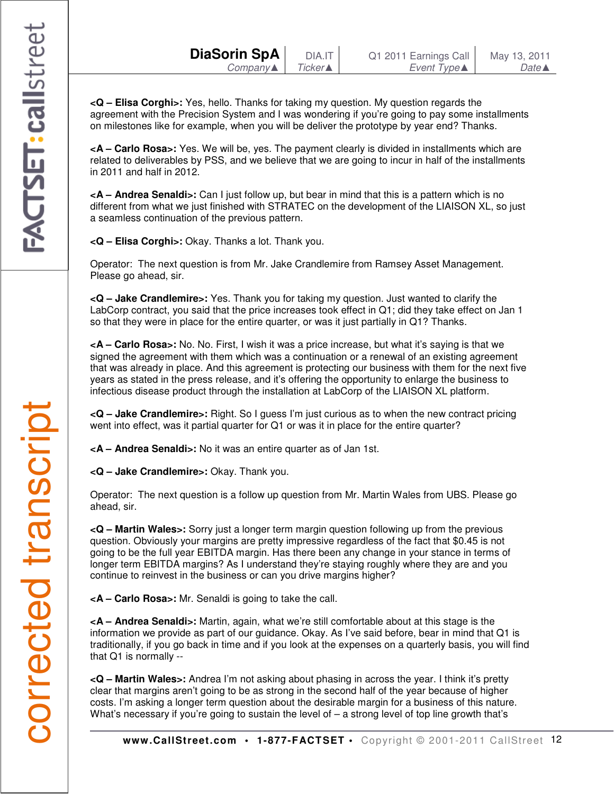**<Q – Elisa Corghi>:** Yes, hello. Thanks for taking my question. My question regards the agreement with the Precision System and I was wondering if you're going to pay some installments on milestones like for example, when you will be deliver the prototype by year end? Thanks.

**<A – Carlo Rosa>:** Yes. We will be, yes. The payment clearly is divided in installments which are related to deliverables by PSS, and we believe that we are going to incur in half of the installments in 2011 and half in 2012.

**<A – Andrea Senaldi>:** Can I just follow up, but bear in mind that this is a pattern which is no different from what we just finished with STRATEC on the development of the LIAISON XL, so just a seamless continuation of the previous pattern.

**<Q – Elisa Corghi>:** Okay. Thanks a lot. Thank you.

Operator: The next question is from Mr. Jake Crandlemire from Ramsey Asset Management. Please go ahead, sir.

**<Q – Jake Crandlemire>:** Yes. Thank you for taking my question. Just wanted to clarify the LabCorp contract, you said that the price increases took effect in Q1; did they take effect on Jan 1 so that they were in place for the entire quarter, or was it just partially in Q1? Thanks.

**<A – Carlo Rosa>:** No. No. First, I wish it was a price increase, but what it's saying is that we signed the agreement with them which was a continuation or a renewal of an existing agreement that was already in place. And this agreement is protecting our business with them for the next five years as stated in the press release, and it's offering the opportunity to enlarge the business to infectious disease product through the installation at LabCorp of the LIAISON XL platform.

**<Q – Jake Crandlemire>:** Right. So I guess I'm just curious as to when the new contract pricing went into effect, was it partial quarter for Q1 or was it in place for the entire quarter?

**<A – Andrea Senaldi>:** No it was an entire quarter as of Jan 1st.

**<Q – Jake Crandlemire>:** Okay. Thank you.

Operator: The next question is a follow up question from Mr. Martin Wales from UBS. Please go ahead, sir.

**<Q – Martin Wales>:** Sorry just a longer term margin question following up from the previous question. Obviously your margins are pretty impressive regardless of the fact that \$0.45 is not going to be the full year EBITDA margin. Has there been any change in your stance in terms of longer term EBITDA margins? As I understand they're staying roughly where they are and you continue to reinvest in the business or can you drive margins higher?

**<A – Carlo Rosa>:** Mr. Senaldi is going to take the call.

**<A – Andrea Senaldi>:** Martin, again, what we're still comfortable about at this stage is the information we provide as part of our guidance. Okay. As I've said before, bear in mind that Q1 is traditionally, if you go back in time and if you look at the expenses on a quarterly basis, you will find that Q1 is normally --

**<Q – Martin Wales>:** Andrea I'm not asking about phasing in across the year. I think it's pretty clear that margins aren't going to be as strong in the second half of the year because of higher costs. I'm asking a longer term question about the desirable margin for a business of this nature. What's necessary if you're going to sustain the level of  $-$  a strong level of top line growth that's